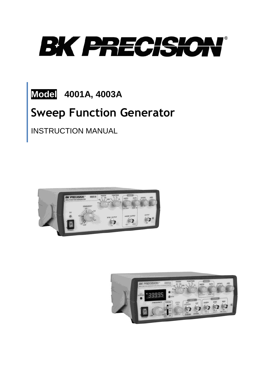

**Model 4001A, 4003A**

# **Sweep Function Generator**

INSTRUCTION MANUAL



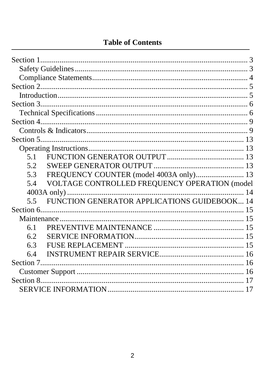# **Table of Contents**

| 5.1 |                                               |  |
|-----|-----------------------------------------------|--|
| 5.2 |                                               |  |
| 5.3 | FREQUENCY COUNTER (model 4003A only) 13       |  |
| 5.4 | VOLTAGE CONTROLLED FREQUENCY OPERATION (model |  |
|     |                                               |  |
| 5.5 | FUNCTION GENERATOR APPLICATIONS GUIDEBOOK 14  |  |
|     |                                               |  |
|     |                                               |  |
| 6.1 |                                               |  |
| 6.2 |                                               |  |
| 6.3 |                                               |  |
| 6.4 |                                               |  |
|     |                                               |  |
|     |                                               |  |
|     |                                               |  |
|     |                                               |  |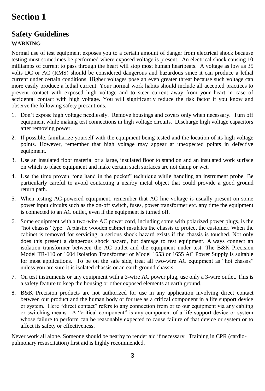# <span id="page-2-1"></span><span id="page-2-0"></span>**Safety Guidelines**

# **WARNING**

Normal use of test equipment exposes you to a certain amount of danger from electrical shock because testing must sometimes be performed where exposed voltage is present. An electrical shock causing 10 milliamps of current to pass through the heart will stop most human heartbeats. A voltage as low as 35 volts DC or AC (RMS) should be considered dangerous and hazardous since it can produce a lethal current under certain conditions. Higher voltages pose an even greater threat because such voltage can more easily produce a lethal current. Your normal work habits should include all accepted practices to prevent contact with exposed high voltage and to steer current away from your heart in case of accidental contact with high voltage. You will significantly reduce the risk factor if you know and observe the following safety precautions.

- 1. Don't expose high voltage needlessly. Remove housings and covers only when necessary. Turn off equipment while making test connections in high voltage circuits. Discharge high voltage capacitors after removing power.
- 2. If possible, familiarize yourself with the equipment being tested and the location of its high voltage points. However, remember that high voltage may appear at unexpected points in defective equipment.
- 3. Use an insulated floor material or a large, insulated floor to stand on and an insulated work surface on which to place equipment and make certain such surfaces are not damp or wet.
- 4. Use the time proven "one hand in the pocket" technique while handling an instrument probe. Be particularly careful to avoid contacting a nearby metal object that could provide a good ground return path.
- 5. When testing AC-powered equipment, remember that AC line voltage is usually present on some power input circuits such as the on-off switch, fuses, power transformer etc. any time the equipment is connected to an AC outlet, even if the equipment is turned off.
- 6. Some equipment with a two-wire AC power cord, including some with polarized power plugs, is the "hot chassis" type. A plastic wooden cabinet insulates the chassis to protect the customer. When the cabinet is removed for servicing, a serious shock hazard exists if the chassis is touched. Not only does this present a dangerous shock hazard, but damage to test equipment. Always connect an isolation transformer between the AC outlet and the equipment under test. The B&K Precision Model TR-110 or 1604 Isolation Transformer or Model 1653 or 1655 AC Power Supply is suitable for most applications. To be on the safe side, treat all two-wire AC equipment as "hot chassis" unless you are sure it is isolated chassis or an earth ground chassis.
- 7. On test instruments or any equipment with a 3-wire AC power plug, use only a 3-wire outlet. This is a safety feature to keep the housing or other exposed elements at earth ground.
- 8. B&K Precision products are not authorized for use in any application involving direct contact between our product and the human body or for use as a critical component in a life support device or system. Here "direct contact" refers to any connection from or to our equipment via any cabling or switching means. A "critical component" is any component of a life support device or system whose failure to perform can be reasonably expected to cause failure of that device or system or to affect its safety or effectiveness.

Never work all alone. Someone should be nearby to render aid if necessary. Training in CPR (cardiopulmonary resuscitation) first aid is highly recommended.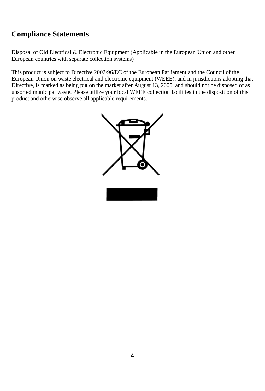# <span id="page-3-0"></span>**Compliance Statements**

Disposal of Old Electrical & Electronic Equipment (Applicable in the European Union and other European countries with separate collection systems)

This product is subject to Directive 2002/96/EC of the European Parliament and the Council of the European Union on waste electrical and electronic equipment (WEEE), and in jurisdictions adopting that Directive, is marked as being put on the market after August 13, 2005, and should not be disposed of as unsorted municipal waste. Please utilize your local WEEE collection facilities in the disposition of this product and otherwise observe all applicable requirements.

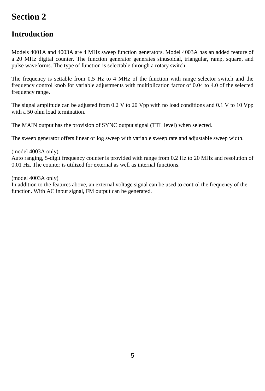# <span id="page-4-1"></span><span id="page-4-0"></span>**Introduction**

Models 4001A and 4003A are 4 MHz sweep function generators. Model 4003A has an added feature of a 20 MHz digital counter. The function generator generates sinusoidal, triangular, ramp, square, and pulse waveforms. The type of function is selectable through a rotary switch.

The frequency is settable from 0.5 Hz to 4 MHz of the function with range selector switch and the frequency control knob for variable adjustments with multiplication factor of 0.04 to 4.0 of the selected frequency range.

The signal amplitude can be adjusted from 0.2 V to 20 Vpp with no load conditions and 0.1 V to 10 Vpp with a 50 ohm load termination.

The MAIN output has the provision of SYNC output signal (TTL level) when selected.

The sweep generator offers linear or log sweep with variable sweep rate and adjustable sweep width.

(model 4003A only) Auto ranging, 5-digit frequency counter is provided with range from 0.2 Hz to 20 MHz and resolution of 0.01 Hz. The counter is utilized for external as well as internal functions.

(model 4003A only)

In addition to the features above, an external voltage signal can be used to control the frequency of the function. With AC input signal, FM output can be generated.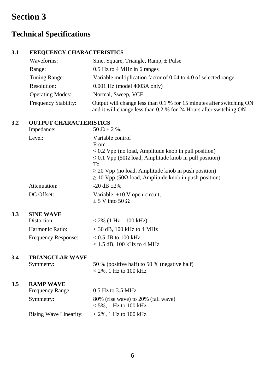# <span id="page-5-1"></span><span id="page-5-0"></span>**Technical Specifications**

# **3.1 FREQUENCY CHARACTERISTICS**

| Waveforms:              | Sine, Square, Triangle, Ramp, $\pm$ Pulse                                                                                                  |
|-------------------------|--------------------------------------------------------------------------------------------------------------------------------------------|
| Range:                  | 0.5 Hz to 4 MHz in 6 ranges                                                                                                                |
| Tuning Range:           | Variable multiplication factor of 0.04 to 4.0 of selected range                                                                            |
| Resolution:             | $0.001$ Hz (model $4003$ A only)                                                                                                           |
| <b>Operating Modes:</b> | Normal, Sweep, VCF                                                                                                                         |
| Frequency Stability:    | Output will change less than 0.1 % for 15 minutes after switching ON<br>and it will change less than 0.2 % for 24 Hours after switching ON |

### **3.2 OUTPUT CHARACTERISTICS**

| Impedance:   | $50 \Omega \pm 2 \%$ .                                             |
|--------------|--------------------------------------------------------------------|
| Level:       | Variable control                                                   |
|              | From                                                               |
|              | $\leq$ 0.2 Vpp (no load, Amplitude knob in pull position)          |
|              | $\leq$ 0.1 Vpp (50 $\Omega$ load, Amplitude knob in pull position) |
|              | To                                                                 |
|              | $\geq$ 20 Vpp (no load, Amplitude knob in push position)           |
|              | $\geq$ 10 Vpp (50Ω load, Amplitude knob in push position)          |
| Attenuation: | $-20$ dB $+2\%$                                                    |
| DC Offset:   | Variable: $\pm 10$ V open circuit,                                 |
|              | $\pm$ 5 V into 50 $\Omega$                                         |

### **3.3 SINE WAVE**

| Distortion:                | $< 2\%$ (1 Hz – 100 kHz)     |
|----------------------------|------------------------------|
| Harmonic Ratio:            | $<$ 30 dB, 100 kHz to 4 MHz  |
| <b>Frequency Response:</b> | $< 0.5$ dB to 100 kHz        |
|                            | $< 1.5$ dB, 100 kHz to 4 MHz |

### **3.4 TRIANGULAR WAVE**

Symmetry: 50 % (positive half) to 50 % (negative half)  $<$  2%, 1 Hz to 100 kHz

# **3.5 RAMP WAVE**

| Frequency Range:       | $0.5$ Hz to 3.5 MHz                |
|------------------------|------------------------------------|
| Symmetry:              | 80% (rise wave) to 20% (fall wave) |
|                        | $<$ 5%, 1 Hz to 100 kHz            |
| Rising Wave Linearity: | $<$ 2%, 1 Hz to 100 kHz            |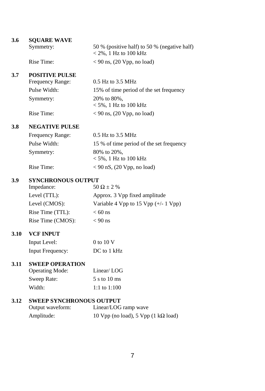| 3.6        | <b>SQUARE WAVE</b>        |                                                                         |
|------------|---------------------------|-------------------------------------------------------------------------|
|            | Symmetry:                 | 50 % (positive half) to 50 % (negative half)<br>$<$ 2%, 1 Hz to 100 kHz |
|            | Rise Time:                | $<$ 90 ns, (20 Vpp, no load)                                            |
| 3.7        | <b>POSITIVE PULSE</b>     |                                                                         |
|            | Frequency Range:          | 0.5 Hz to 3.5 MHz                                                       |
|            | Pulse Width:              | 15% of time period of the set frequency                                 |
|            | Symmetry:                 | 20% to 80%,<br>$<$ 5%, 1 Hz to 100 kHz                                  |
|            | Rise Time:                | $< 90$ ns, (20 Vpp, no load)                                            |
| <b>3.8</b> | <b>NEGATIVE PULSE</b>     |                                                                         |
|            | Frequency Range:          | 0.5 Hz to 3.5 MHz                                                       |
|            | Pulse Width:              | 15 % of time period of the set frequency                                |
|            | Symmetry:                 | 80% to 20%,<br>$<$ 5%, 1 Hz to 100 kHz                                  |
|            | Rise Time:                | $<$ 90 nS, (20 Vpp, no load)                                            |
| 3.9        | <b>SYNCHRONOUS OUTPUT</b> |                                                                         |
|            | Impedance:                | $50 \Omega + 2 \%$                                                      |
|            | Level (TTL):              | Approx. 3 Vpp fixed amplitude                                           |
|            | Level (CMOS):             | Variable 4 Vpp to 15 Vpp $(+/- 1$ Vpp)                                  |
|            | Rise Time (TTL):          | $< 60$ ns                                                               |
|            | Rise Time (CMOS):         | $< 90$ ns                                                               |
| 3.10       | <b>VCF INPUT</b>          |                                                                         |
|            | Input Level:              | 0 to 10 V                                                               |
|            | <b>Input Frequency:</b>   | DC to 1 kHz                                                             |
| 3.11       | <b>SWEEP OPERATION</b>    |                                                                         |
|            | <b>Operating Mode:</b>    | Linear/LOG                                                              |
|            | Sweep Rate:               | 5 s to 10 ms                                                            |
|            | Width:                    | 1:1 to $1:100$                                                          |
|            |                           |                                                                         |

# **3.12 SWEEP SYNCHRONOUS OUTPUT**

| Output waveform: | Linear/LOG ramp wave                        |
|------------------|---------------------------------------------|
| Amplitude:       | 10 Vpp (no load), 5 Vpp (1 k $\Omega$ load) |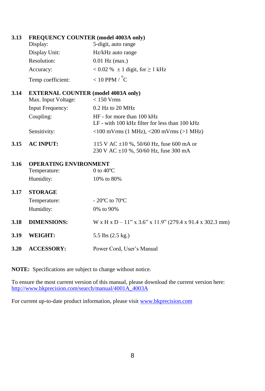| 3.13 | <b>FREQUENCY COUNTER (model 4003A only)</b> |                                                                                   |
|------|---------------------------------------------|-----------------------------------------------------------------------------------|
|      | Display:                                    | 5-digit, auto range                                                               |
|      | Display Unit:                               | Hz/kHz auto range                                                                 |
|      | Resolution:                                 | $0.01$ Hz (max.)                                                                  |
|      | Accuracy:                                   | $< 0.02$ % $\pm 1$ digit, for $\geq 1$ kHz                                        |
|      | Temp coefficient:                           | $<$ 10 PPM / $^{\circ}$ C                                                         |
| 3.14 | <b>EXTERNAL COUNTER (model 4003A only)</b>  |                                                                                   |
|      | Max. Input Voltage:                         | $< 150$ Vrms                                                                      |
|      | <b>Input Frequency:</b>                     | $0.2$ Hz to $20$ MHz                                                              |
|      | Coupling:                                   | HF - for more than 100 kHz                                                        |
|      |                                             | LF - with 100 kHz filter for less than 100 kHz                                    |
|      | Sensitivity:                                | $<$ 100 mVrms (1 MHz), $<$ 200 mVrms (>1 MHz)                                     |
| 3.15 | <b>AC INPUT:</b>                            | 115 V AC $\pm$ 10 %, 50/60 Hz, fuse 600 mA or                                     |
|      |                                             | 230 V AC $\pm 10$ %, 50/60 Hz, fuse 300 mA                                        |
| 3.16 | <b>OPERATING ENVIRONMENT</b>                |                                                                                   |
|      | Temperature:                                | 0 to $40^{\circ}$ C                                                               |
|      | Humidity:                                   | 10% to 80%                                                                        |
| 3.17 | <b>STORAGE</b>                              |                                                                                   |
|      | Temperature:                                | $-20^{\circ}$ C to $70^{\circ}$ C                                                 |
|      | Humidity:                                   | 0% to 90%                                                                         |
| 3.18 | <b>DIMENSIONS:</b>                          | $W \times H \times D - 11'' \times 3.6'' \times 11.9''$ (279.4 x 91.4 x 302.3 mm) |
| 3.19 | <b>WEIGHT:</b>                              | 5.5 lbs (2.5 kg.)                                                                 |
| 3.20 | <b>ACCESSORY:</b>                           | Power Cord, User's Manual                                                         |
|      |                                             |                                                                                   |

**NOTE:** Specifications are subject to change without notice.

To ensure the most current version of this manual, please download the current version here: [http://www.bkprecision.com/search/manual/4001A\\_4003A](http://www.bkprecision.com/search/manual/4001A_4003A)

For current up-to-date product information, please visit [www.bkprecision.com](http://www.bkprecision.com/)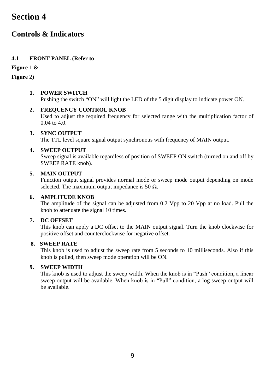# <span id="page-8-1"></span><span id="page-8-0"></span>**Controls & Indicators**

# **4.1 FRONT PANEL (Refer to**

# **[Figure](#page-9-0)** 1 **[&](#page-9-1)**

**[Figure](#page-9-1)** 2**)**

# **1. POWER SWITCH**

Pushing the switch "ON" will light the LED of the 5 digit display to indicate power ON.

# **2. FREQUENCY CONTROL KNOB**

Used to adjust the required frequency for selected range with the multiplication factor of 0.04 to 4.0.

# **3. SYNC OUTPUT**

The TTL level square signal output synchronous with frequency of MAIN output.

# **4. SWEEP OUTPUT**

Sweep signal is available regardless of position of SWEEP ON switch (turned on and off by SWEEP RATE knob).

# **5. MAIN OUTPUT**

Function output signal provides normal mode or sweep mode output depending on mode selected. The maximum output impedance is 50  $\Omega$ .

# **6. AMPLITUDE KNOB**

The amplitude of the signal can be adjusted from 0.2 Vpp to 20 Vpp at no load. Pull the knob to attenuate the signal 10 times.

# **7. DC OFFSET**

This knob can apply a DC offset to the MAIN output signal. Turn the knob clockwise for positive offset and counterclockwise for negative offset.

# **8. SWEEP RATE**

This knob is used to adjust the sweep rate from 5 seconds to 10 milliseconds. Also if this knob is pulled, then sweep mode operation will be ON.

# **9. SWEEP WIDTH**

This knob is used to adjust the sweep width. When the knob is in "Push" condition, a linear sweep output will be available. When knob is in "Pull" condition, a log sweep output will be available.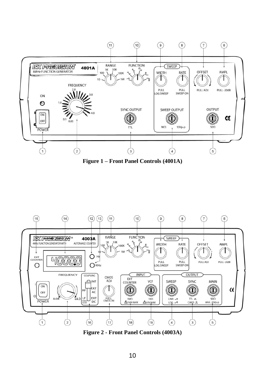

<span id="page-9-1"></span><span id="page-9-0"></span>**Figure 1 – Front Panel Controls (4001A)**



**Figure 2 - Front Panel Controls (4003A)**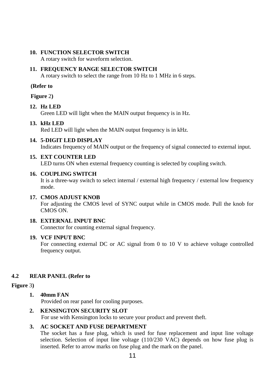#### **10. FUNCTION SELECTOR SWITCH**

A rotary switch for waveform selection.

#### **11. FREQUENCY RANGE SELECTOR SWITCH**

A rotary switch to select the range from 10 Hz to 1 MHz in 6 steps.

#### **(Refer t[o](#page-9-1)**

**[Figure](#page-9-1)** 2**)**

### **12. Hz LED**

Green LED will light when the MAIN output frequency is in Hz.

#### **13. kHz LED**

Red LED will light when the MAIN output frequency is in kHz.

### **14. 5-DIGIT LED DISPLAY**

Indicates frequency of MAIN output or the frequency of signal connected to external input.

#### **15. EXT COUNTER LED**

LED turns ON when external frequency counting is selected by coupling switch.

#### **16. COUPLING SWITCH**

It is a three-way switch to select internal / external high frequency / external low frequency mode.

#### **17. CMOS ADJUST KNOB**

For adjusting the CMOS level of SYNC output while in CMOS mode. Pull the knob for CMOS ON.

#### **18. EXTERNAL INPUT BNC**

Connector for counting external signal frequency.

### **19. VCF INPUT BNC**

For connecting external DC or AC signal from 0 to 10 V to achieve voltage controlled frequency output.

### **4.2 REAR PANEL (Refer to**

# **[Figure](#page-11-0)** 3**)**

# **1. 40mm FAN**

Provided on rear panel for cooling purposes.

### **2. KENSINGTON SECURITY SLOT**

For use with Kensington locks to secure your product and prevent theft.

### **3. AC SOCKET AND FUSE DEPARTMENT**

The socket has a fuse plug, which is used for fuse replacement and input line voltage selection. Selection of input line voltage (110/230 VAC) depends on how fuse plug is inserted. Refer to arrow marks on fuse plug and the mark on the panel.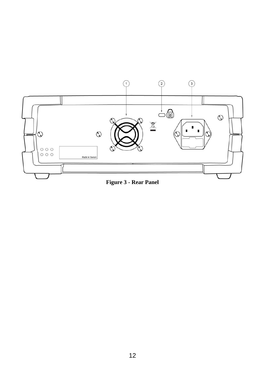

<span id="page-11-0"></span>**Figure 3 - Rear Panel**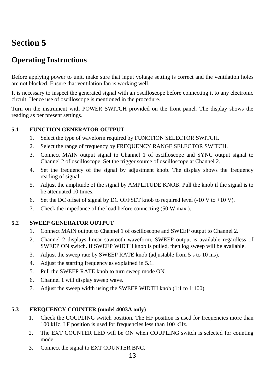# <span id="page-12-1"></span><span id="page-12-0"></span>**Operating Instructions**

Before applying power to unit, make sure that input voltage setting is correct and the ventilation holes are not blocked. Ensure that ventilation fan is working well.

It is necessary to inspect the generated signal with an oscilloscope before connecting it to any electronic circuit. Hence use of oscilloscope is mentioned in the procedure.

Turn on the instrument with POWER SWITCH provided on the front panel. The display shows the reading as per present settings.

# <span id="page-12-2"></span>**5.1 FUNCTION GENERATOR OUTPUT**

- 1. Select the type of waveform required by FUNCTION SELECTOR SWITCH.
- 2. Select the range of frequency by FREQUENCY RANGE SELECTOR SWITCH.
- 3. Connect MAIN output signal to Channel 1 of oscilloscope and SYNC output signal to Channel 2 of oscilloscope. Set the trigger source of oscilloscope at Channel 2.
- 4. Set the frequency of the signal by adjustment knob. The display shows the frequency reading of signal.
- 5. Adjust the amplitude of the signal by AMPLITUDE KNOB. Pull the knob if the signal is to be attenuated 10 times.
- 6. Set the DC offset of signal by DC OFFSET knob to required level  $(-10 \text{ V to } +10 \text{ V})$ .
- 7. Check the impedance of the load before connecting (50 W max.).

### <span id="page-12-3"></span>**5.2 SWEEP GENERATOR OUTPUT**

- 1. Connect MAIN output to Channel 1 of oscilloscope and SWEEP output to Channel 2.
- 2. Channel 2 displays linear sawtooth waveform. SWEEP output is available regardless of SWEEP ON switch. If SWEEP WIDTH knob is pulled, then log sweep will be available.
- 3. Adjust the sweep rate by SWEEP RATE knob (adjustable from 5 s to 10 ms).
- 4. Adjust the starting frequency as explained in 5.1.
- 5. Pull the SWEEP RATE knob to turn sweep mode ON.
- 6. Channel 1 will display sweep wave.
- 7. Adjust the sweep width using the SWEEP WIDTH knob (1:1 to 1:100).

# <span id="page-12-4"></span>**5.3 FREQUENCY COUNTER (model 4003A only)**

- 1. Check the COUPLING switch position. The HF position is used for frequencies more than 100 kHz. LF position is used for frequencies less than 100 kHz.
- 2. The EXT COUNTER LED will be ON when COUPLING switch is selected for counting mode.
- 3. Connect the signal to EXT COUNTER BNC.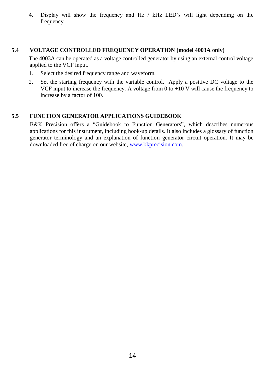4. Display will show the frequency and Hz / kHz LED's will light depending on the frequency.

### <span id="page-13-0"></span>**5.4 VOLTAGE CONTROLLED FREQUENCY OPERATION (model 4003A only)**

The 4003A can be operated as a voltage controlled generator by using an external control voltage applied to the VCF input.

- 1. Select the desired frequency range and waveform.
- 2. Set the starting frequency with the variable control. Apply a positive DC voltage to the VCF input to increase the frequency. A voltage from 0 to +10 V will cause the frequency to increase by a factor of 100.

### <span id="page-13-1"></span>**5.5 FUNCTION GENERATOR APPLICATIONS GUIDEBOOK**

B&K Precision offers a "Guidebook to Function Generators", which describes numerous applications for this instrument, including hook-up details. It also includes a glossary of function generator terminology and an explanation of function generator circuit operation. It may be downloaded free of charge on our website[, www.bkprecision.com.](http://www.bkprecision.com/)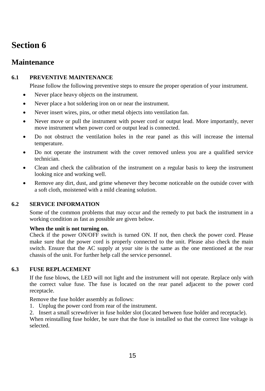# <span id="page-14-1"></span><span id="page-14-0"></span>**Maintenance**

# <span id="page-14-2"></span>**6.1 PREVENTIVE MAINTENANCE**

Please follow the following preventive steps to ensure the proper operation of your instrument.

- Never place heavy objects on the instrument.
- Never place a hot soldering iron on or near the instrument.
- Never insert wires, pins, or other metal objects into ventilation fan.
- Never move or pull the instrument with power cord or output lead. More importantly, never move instrument when power cord or output lead is connected.
- Do not obstruct the ventilation holes in the rear panel as this will increase the internal temperature.
- Do not operate the instrument with the cover removed unless you are a qualified service technician.
- Clean and check the calibration of the instrument on a regular basis to keep the instrument looking nice and working well.
- Remove any dirt, dust, and grime whenever they become noticeable on the outside cover with a soft cloth, moistened with a mild cleaning solution.

# <span id="page-14-3"></span>**6.2 SERVICE INFORMATION**

Some of the common problems that may occur and the remedy to put back the instrument in a working condition as fast as possible are given below.

### **When the unit is not turning on.**

Check if the power ON/OFF switch is turned ON. If not, then check the power cord. Please make sure that the power cord is properly connected to the unit. Please also check the main switch. Ensure that the AC supply at your site is the same as the one mentioned at the rear chassis of the unit. For further help call the service personnel.

# <span id="page-14-4"></span>**6.3 FUSE REPLACEMENT**

If the fuse blows, the LED will not light and the instrument will not operate. Replace only with the correct value fuse. The fuse is located on the rear panel adjacent to the power cord receptacle.

Remove the fuse holder assembly as follows:

- 1. Unplug the power cord from rear of the instrument.
- 2. Insert a small screwdriver in fuse holder slot (located between fuse holder and receptacle).

When reinstalling fuse holder, be sure that the fuse is installed so that the correct line voltage is selected.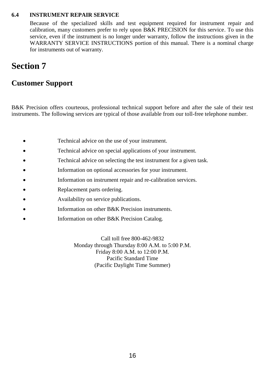### <span id="page-15-0"></span>**6.4 INSTRUMENT REPAIR SERVICE**

Because of the specialized skills and test equipment required for instrument repair and calibration, many customers prefer to rely upon B&K PRECISION for this service. To use this service, even if the instrument is no longer under warranty, follow the instructions given in the WARRANTY SERVICE INSTRUCTIONS portion of this manual. There is a nominal charge for instruments out of warranty.

# <span id="page-15-1"></span>**Section 7**

# <span id="page-15-2"></span>**Customer Support**

B&K Precision offers courteous, professional technical support before and after the sale of their test instruments. The following services are typical of those available from our toll-free telephone number.

- Technical advice on the use of your instrument.
- Technical advice on special applications of your instrument.
- Technical advice on selecting the test instrument for a given task.
- Information on optional accessories for your instrument.
- Information on instrument repair and re-calibration services.
- Replacement parts ordering.
- Availability on service publications.
- Information on other B&K Precision instruments.
- Information on other B&K Precision Catalog.

Call toll free 800-462-9832 Monday through Thursday 8:00 A.M. to 5:00 P.M. Friday 8:00 A.M. to 12:00 P.M. Pacific Standard Time (Pacific Daylight Time Summer)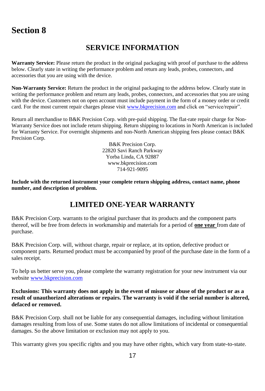# **SERVICE INFORMATION**

<span id="page-16-1"></span><span id="page-16-0"></span>**Warranty Service:** Please return the product in the original packaging with proof of purchase to the address below. Clearly state in writing the performance problem and return any leads, probes, connectors, and accessories that you are using with the device.

**Non-Warranty Service:** Return the product in the original packaging to the address below. Clearly state in writing the performance problem and return any leads, probes, connectors, and accessories that you are using with the device. Customers not on open account must include payment in the form of a money order or credit card. For the most current repair charges please visi[t www.bkprecision.com](http://www.bkprecision.com/) and click on "service/repair".

Return all merchandise to B&K Precision Corp. with pre-paid shipping. The flat-rate repair charge for Non-Warranty Service does not include return shipping. Return shipping to locations in North American is included for Warranty Service. For overnight shipments and non-North American shipping fees please contact B&K Precision Corp.

> B&K Precision Corp. 22820 Savi Ranch Parkway Yorba Linda, CA 92887 www.bkprecision.com 714-921-9095

**Include with the returned instrument your complete return shipping address, contact name, phone number, and description of problem.**

# **LIMITED ONE-YEAR WARRANTY**

B&K Precision Corp. warrants to the original purchaser that its products and the component parts thereof, will be free from defects in workmanship and materials for a period of **one year** from date of purchase.

B&K Precision Corp. will, without charge, repair or replace, at its option, defective product or component parts. Returned product must be accompanied by proof of the purchase date in the form of a sales receipt.

To help us better serve you, please complete the warranty registration for your new instrument via our websit[e www.bkprecision.com](http://www.bkprecision.com/)

### **Exclusions: This warranty does not apply in the event of misuse or abuse of the product or as a result of unauthorized alterations or repairs. The warranty is void if the serial number is altered, defaced or removed.**

B&K Precision Corp. shall not be liable for any consequential damages, including without limitation damages resulting from loss of use. Some states do not allow limitations of incidental or consequential damages. So the above limitation or exclusion may not apply to you.

This warranty gives you specific rights and you may have other rights, which vary from state-to-state.